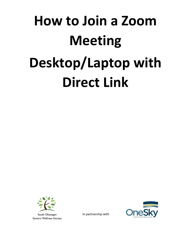# **How to Join a Zoom Meeting Desktop/Laptop with Direct Link**



In partnership with

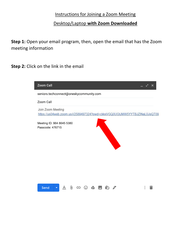#### Instructions for Joining a Zoom Meeting

#### Desktop/Laptop **with Zoom Downloaded**

**Step 1:** Open your email program, then, open the email that has the Zoom meeting information

**Step 2:** Click on the link in the email

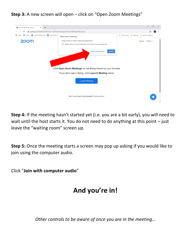#### **Step 3:** A new screen will open – click on "Open Zoom Meetings"



**Step 4:** If the meeting hasn't started yet (i.e. you are a bit early), you will need to wait until the host starts it. You do not need to do anything at this point – just leave the "waiting room" screen up.

**Step 5:** Once the meeting starts a screen may pop up asking if you would like to join using the computer audio.

Click "**Join with computer audio**"

## **And you're in!**

*Other controls to be aware of once you are in the meeting…*